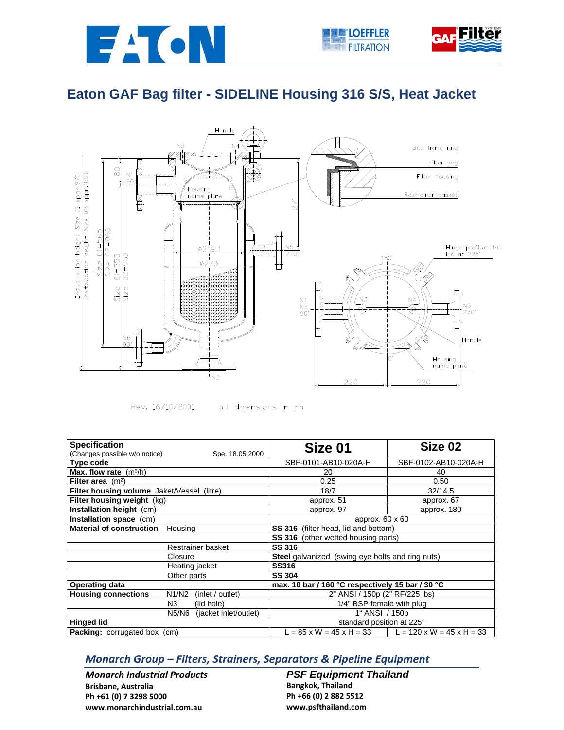





## **Eaton GAF Bag filter - SIDELINE Housing 316 S/S, Heat Jacket**





all dimensions in mm

| <b>Specification</b>                                    | Size 01                                          | Size 02                               |  |
|---------------------------------------------------------|--------------------------------------------------|---------------------------------------|--|
| (Changes possible w/o notice)<br>Spe. 18.05.2000        |                                                  |                                       |  |
| Type code                                               | SBF-0101-AB10-020A-H                             | SBF-0102-AB10-020A-H                  |  |
| Max. flow rate $(m^3/h)$                                | 20                                               | 40                                    |  |
| Filter area $(m2)$                                      | 0.25                                             | 0.50                                  |  |
| Filter housing volume Jaket/Vessel (litre)              | 18/7                                             | 32/14.5                               |  |
| Filter housing weight (kg)                              | approx. 51                                       | approx. 67                            |  |
| Installation height (cm)                                | approx. 97                                       | approx. 180                           |  |
| Installation space (cm)                                 | approx. $60 \times 60$                           |                                       |  |
| <b>Material of construction</b><br>Housing              | <b>SS 316</b> (filter head, lid and bottom)      |                                       |  |
|                                                         | <b>SS 316</b> (other wetted housing parts)       |                                       |  |
| Restrainer basket                                       | <b>SS 316</b>                                    |                                       |  |
| Closure                                                 | Steel galvanized (swing eye bolts and ring nuts) |                                       |  |
| Heating jacket                                          | <b>SS316</b>                                     |                                       |  |
| Other parts                                             | <b>SS 304</b>                                    |                                       |  |
| <b>Operating data</b>                                   | max. 10 bar / 160 °C respectively 15 bar / 30 °C |                                       |  |
| <b>Housing connections</b><br>N1/N2<br>(inlet / outlet) | 2" ANSI / 150p (2" RF/225 lbs)                   |                                       |  |
| N3<br>(lid hole)                                        | 1/4" BSP female with plug                        |                                       |  |
| N5/N6<br>(jacket inlet/outlet)                          | 1" ANSI / 150p                                   |                                       |  |
| <b>Hinged lid</b>                                       | standard position at 225°                        |                                       |  |
| Packing: corrugated box (cm)                            | $L = 85 \times W = 45 \times H = 33$             | $L = 120 \times W = 45 \times H = 33$ |  |

## *Monarch Group – Filters, Strainers, Separators & Pipeline Equipment*

*Monarch Industrial Products* **Brisbane, Australia Ph +61 (0) 7 3298 5000 www.monarchindustrial.com.au**

**PSF Equipment Thailand Bangkok, Thailand Ph +66 (0) 2 882 5512 www.psfthailand.com**